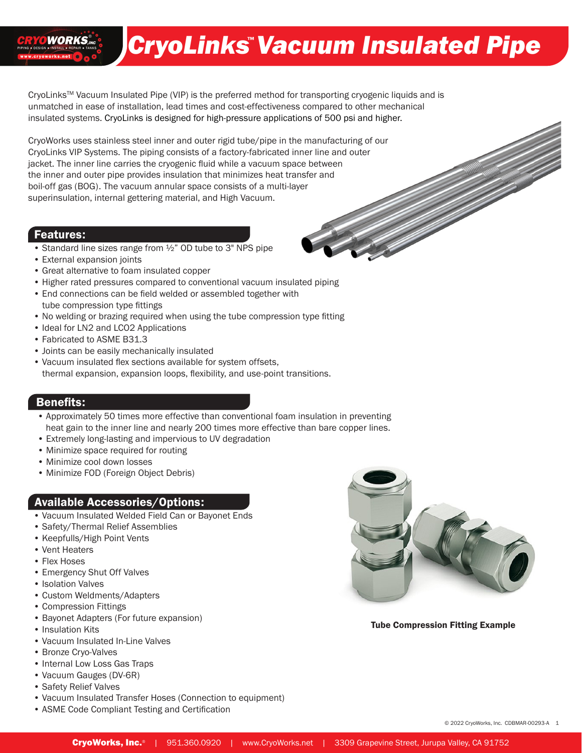# CryoLinks Vacuum Insulated Pipe

CryoLinksTM Vacuum Insulated Pipe (VIP) is the preferred method for transporting cryogenic liquids and is unmatched in ease of installation, lead times and cost-effectiveness compared to other mechanical insulated systems. CryoLinks is designed for high-pressure applications of 500 psi and higher.

CryoWorks uses stainless steel inner and outer rigid tube/pipe in the manufacturing of our CryoLinks VIP Systems. The piping consists of a factory-fabricated inner line and outer jacket. The inner line carries the cryogenic fluid while a vacuum space between the inner and outer pipe provides insulation that minimizes heat transfer and boil-off gas (BOG). The vacuum annular space consists of a multi-layer superinsulation, internal gettering material, and High Vacuum.

#### Features:

**WORKS** 

- Standard line sizes range from ½" OD tube to 3" NPS pipe
- External expansion joints
- Great alternative to foam insulated copper
- Higher rated pressures compared to conventional vacuum insulated piping
- End connections can be field welded or assembled together with tube compression type fittings
- No welding or brazing required when using the tube compression type fitting
- Ideal for LN2 and LCO2 Applications
- Fabricated to ASME B31.3
- Joints can be easily mechanically insulated
- Vacuum insulated flex sections available for system offsets, thermal expansion, expansion loops, flexibility, and use-point transitions.

#### Benefits:

- Approximately 50 times more effective than conventional foam insulation in preventing heat gain to the inner line and nearly 200 times more effective than bare copper lines.
- Extremely long-lasting and impervious to UV degradation
- Minimize space required for routing
- Minimize cool down losses
- Minimize FOD (Foreign Object Debris)

#### Available Accessories/Options:

- Vacuum Insulated Welded Field Can or Bayonet Ends
- Safety/Thermal Relief Assemblies
- Keepfulls/High Point Vents
- Vent Heaters
- Flex Hoses
- Emergency Shut Off Valves
- Isolation Valves
- Custom Weldments/Adapters
- Compression Fittings
- Bayonet Adapters (For future expansion)
- Insulation Kits
- Vacuum Insulated In-Line Valves
- Bronze Cryo-Valves
- Internal Low Loss Gas Traps
- Vacuum Gauges (DV-6R)
- Safety Relief Valves
- Vacuum Insulated Transfer Hoses (Connection to equipment)
- ASME Code Compliant Testing and Certification



Tube Compression Fitting Example